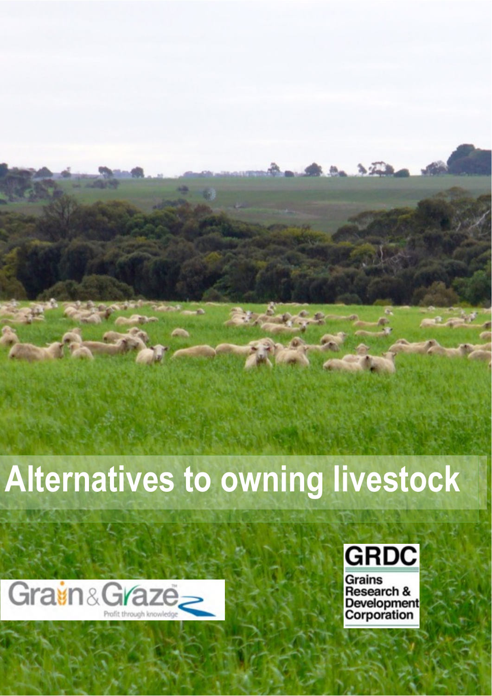# **Alternatives to owning livestock**

**Contents**  Disclaimer 1

 $\Box$  And  $\tau$ 

Grain and Grain and Green within 1996, when the Principal Mathematical Grain

Acknowledgements1



Overview 4



Grains **Research & Development** Corporation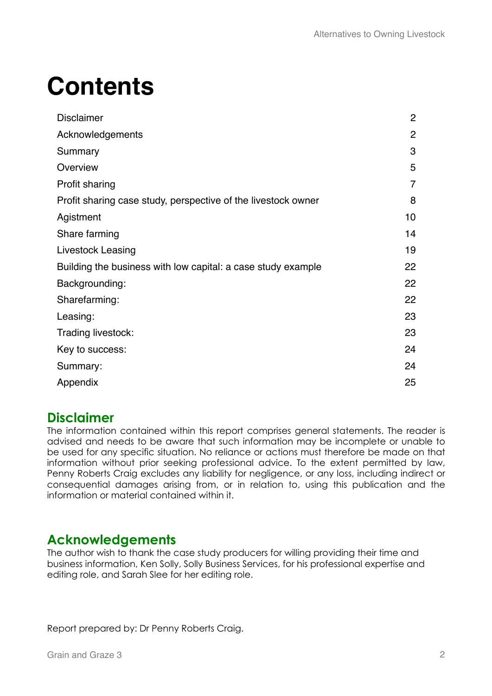## **Contents**

| <b>Disclaimer</b>                                             | $\mathbf{2}$   |
|---------------------------------------------------------------|----------------|
| Acknowledgements                                              | $\overline{2}$ |
| Summary                                                       | 3              |
| Overview                                                      | 5              |
| Profit sharing                                                | $\overline{7}$ |
| Profit sharing case study, perspective of the livestock owner | 8              |
| Agistment                                                     | 10             |
| Share farming                                                 | 14             |
| <b>Livestock Leasing</b>                                      | 19             |
| Building the business with low capital: a case study example  | 22             |
| Backgrounding:                                                | 22             |
| Sharefarming:                                                 | 22             |
| Leasing:                                                      | 23             |
| Trading livestock:                                            | 23             |
| Key to success:                                               | 24             |
| Summary:                                                      | 24             |
| Appendix                                                      | 25             |

## **Disclaimer**

The information contained within this report comprises general statements. The reader is advised and needs to be aware that such information may be incomplete or unable to be used for any specific situation. No reliance or actions must therefore be made on that information without prior seeking professional advice. To the extent permitted by law, Penny Roberts Craig excludes any liability for negligence, or any loss, including indirect or consequential damages arising from, or in relation to, using this publication and the information or material contained within it.

## **Acknowledgements**

The author wish to thank the case study producers for willing providing their time and business information, Ken Solly, Solly Business Services, for his professional expertise and editing role, and Sarah Slee for her editing role.

Report prepared by: Dr Penny Roberts Craig.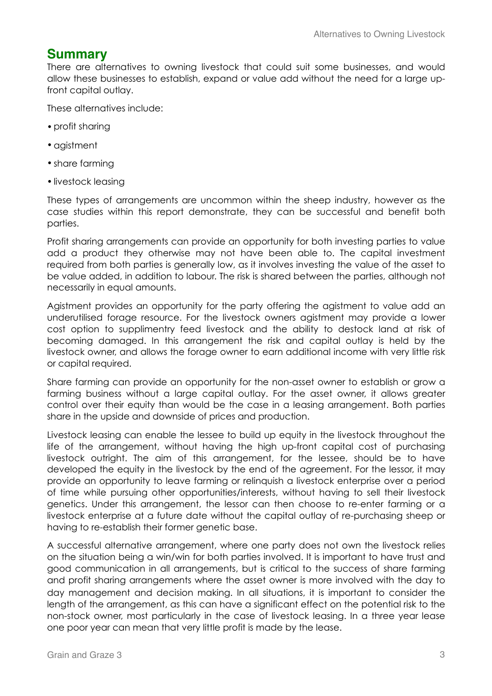## **Summary**

There are alternatives to owning livestock that could suit some businesses, and would allow these businesses to establish, expand or value add without the need for a large upfront capital outlay.

These alternatives include:

- profit sharing
- •agistment
- •share farming
- livestock leasing

These types of arrangements are uncommon within the sheep industry, however as the case studies within this report demonstrate, they can be successful and benefit both parties.

Profit sharing arrangements can provide an opportunity for both investing parties to value add a product they otherwise may not have been able to. The capital investment required from both parties is generally low, as it involves investing the value of the asset to be value added, in addition to labour. The risk is shared between the parties, although not necessarily in equal amounts.

Agistment provides an opportunity for the party offering the agistment to value add an underutilised forage resource. For the livestock owners agistment may provide a lower cost option to supplimentry feed livestock and the ability to destock land at risk of becoming damaged. In this arrangement the risk and capital outlay is held by the livestock owner, and allows the forage owner to earn additional income with very little risk or capital required.

Share farming can provide an opportunity for the non-asset owner to establish or grow a farming business without a large capital outlay. For the asset owner, it allows greater control over their equity than would be the case in a leasing arrangement. Both parties share in the upside and downside of prices and production.

Livestock leasing can enable the lessee to build up equity in the livestock throughout the life of the arrangement, without having the high up-front capital cost of purchasing livestock outright. The aim of this arrangement, for the lessee, should be to have developed the equity in the livestock by the end of the agreement. For the lessor, it may provide an opportunity to leave farming or relinquish a livestock enterprise over a period of time while pursuing other opportunities/interests, without having to sell their livestock genetics. Under this arrangement, the lessor can then choose to re-enter farming or a livestock enterprise at a future date without the capital outlay of re-purchasing sheep or having to re-establish their former genetic base.

A successful alternative arrangement, where one party does not own the livestock relies on the situation being a win/win for both parties involved. It is important to have trust and good communication in all arrangements, but is critical to the success of share farming and profit sharing arrangements where the asset owner is more involved with the day to day management and decision making. In all situations, it is important to consider the length of the arrangement, as this can have a significant effect on the potential risk to the non-stock owner, most particularly in the case of livestock leasing. In a three year lease one poor year can mean that very little profit is made by the lease.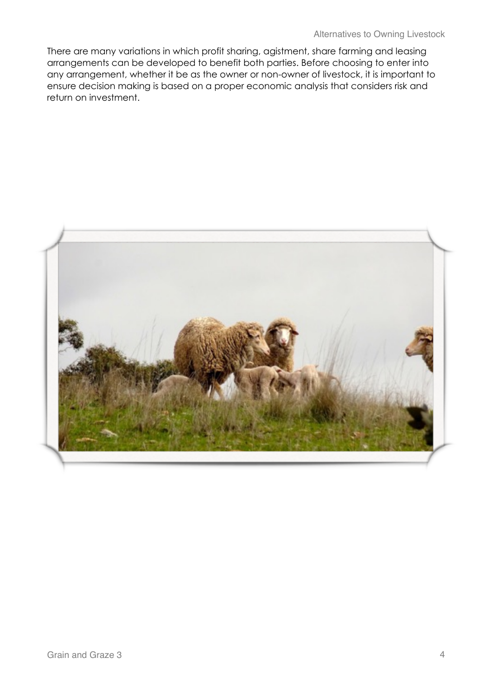There are many variations in which profit sharing, agistment, share farming and leasing arrangements can be developed to benefit both parties. Before choosing to enter into any arrangement, whether it be as the owner or non-owner of livestock, it is important to ensure decision making is based on a proper economic analysis that considers risk and return on investment.

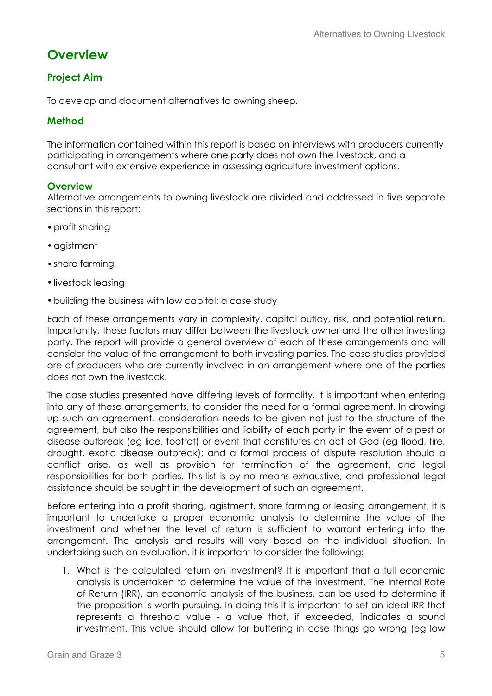## **Overview**

### **Project Aim**

To develop and document alternatives to owning sheep.

#### **Method**

The information contained within this report is based on interviews with producers currently participating in arrangements where one party does not own the livestock, and a consultant with extensive experience in assessing agriculture investment options.

#### **Overview**

Alternative arrangements to owning livestock are divided and addressed in five separate sections in this report:

- profit sharing
- •agistment
- share farming
- livestock leasing
- •building the business with low capital: a case study

Each of these arrangements vary in complexity, capital outlay, risk, and potential return. Importantly, these factors may differ between the livestock owner and the other investing party. The report will provide a general overview of each of these arrangements and will consider the value of the arrangement to both investing parties. The case studies provided are of producers who are currently involved in an arrangement where one of the parties does not own the livestock.

The case studies presented have differing levels of formality. It is important when entering into any of these arrangements, to consider the need for a formal agreement. In drawing up such an agreement, consideration needs to be given not just to the structure of the agreement, but also the responsibilities and liability of each party in the event of a pest or disease outbreak (eg lice, footrot) or event that constitutes an act of God (eg flood, fire, drought, exotic disease outbreak); and a formal process of dispute resolution should a conflict arise, as well as provision for termination of the agreement, and legal responsibilities for both parties. This list is by no means exhaustive, and professional legal assistance should be sought in the development of such an agreement.

Before entering into a profit sharing, agistment, share farming or leasing arrangement, it is important to undertake a proper economic analysis to determine the value of the investment and whether the level of return is sufficient to warrant entering into the arrangement. The analysis and results will vary based on the individual situation. In undertaking such an evaluation, it is important to consider the following:

1. What is the calculated return on investment? It is important that a full economic analysis is undertaken to determine the value of the investment. The Internal Rate of Return (IRR), an economic analysis of the business, can be used to determine if the proposition is worth pursuing. In doing this it is important to set an ideal IRR that represents a threshold value - a value that, if exceeded, indicates a sound investment. This value should allow for buffering in case things go wrong (eg low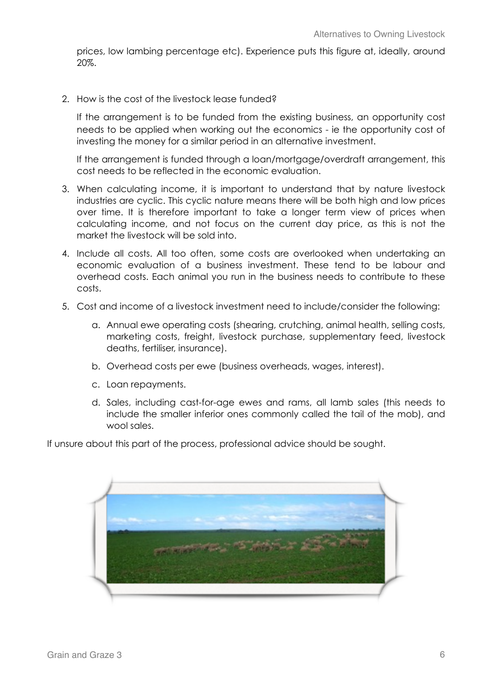prices, low lambing percentage etc). Experience puts this figure at, ideally, around 20%.

2. How is the cost of the livestock lease funded?

If the arrangement is to be funded from the existing business, an opportunity cost needs to be applied when working out the economics - ie the opportunity cost of investing the money for a similar period in an alternative investment.

If the arrangement is funded through a loan/mortgage/overdraft arrangement, this cost needs to be reflected in the economic evaluation.

- 3. When calculating income, it is important to understand that by nature livestock industries are cyclic. This cyclic nature means there will be both high and low prices over time. It is therefore important to take a longer term view of prices when calculating income, and not focus on the current day price, as this is not the market the livestock will be sold into.
- 4. Include all costs. All too often, some costs are overlooked when undertaking an economic evaluation of a business investment. These tend to be labour and overhead costs. Each animal you run in the business needs to contribute to these costs.
- 5. Cost and income of a livestock investment need to include/consider the following:
	- a. Annual ewe operating costs (shearing, crutching, animal health, selling costs, marketing costs, freight, livestock purchase, supplementary feed, livestock deaths, fertiliser, insurance).
	- b. Overhead costs per ewe (business overheads, wages, interest).
	- c. Loan repayments.
	- d. Sales, including cast-for-age ewes and rams, all lamb sales (this needs to include the smaller inferior ones commonly called the tail of the mob), and wool sales.

If unsure about this part of the process, professional advice should be sought.

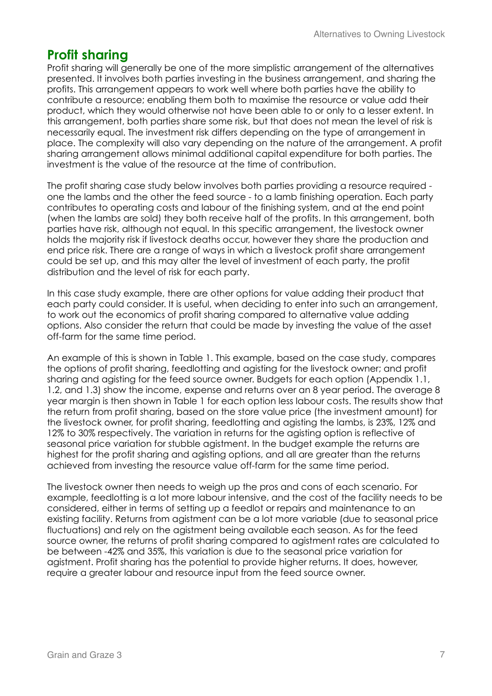## **Profit sharing**

Profit sharing will generally be one of the more simplistic arrangement of the alternatives presented. It involves both parties investing in the business arrangement, and sharing the profits. This arrangement appears to work well where both parties have the ability to contribute a resource; enabling them both to maximise the resource or value add their product, which they would otherwise not have been able to or only to a lesser extent. In this arrangement, both parties share some risk, but that does not mean the level of risk is necessarily equal. The investment risk differs depending on the type of arrangement in place. The complexity will also vary depending on the nature of the arrangement. A profit sharing arrangement allows minimal additional capital expenditure for both parties. The investment is the value of the resource at the time of contribution.

The profit sharing case study below involves both parties providing a resource required one the lambs and the other the feed source - to a lamb finishing operation. Each party contributes to operating costs and labour of the finishing system, and at the end point (when the lambs are sold) they both receive half of the profits. In this arrangement, both parties have risk, although not equal. In this specific arrangement, the livestock owner holds the majority risk if livestock deaths occur, however they share the production and end price risk. There are a range of ways in which a livestock profit share arrangement could be set up, and this may alter the level of investment of each party, the profit distribution and the level of risk for each party.

In this case study example, there are other options for value adding their product that each party could consider. It is useful, when deciding to enter into such an arrangement, to work out the economics of profit sharing compared to alternative value adding options. Also consider the return that could be made by investing the value of the asset off-farm for the same time period.

An example of this is shown in Table 1. This example, based on the case study, compares the options of profit sharing, feedlotting and agisting for the livestock owner; and profit sharing and agisting for the feed source owner. Budgets for each option (Appendix 1.1, 1.2, and 1.3) show the income, expense and returns over an 8 year period. The average 8 year margin is then shown in Table 1 for each option less labour costs. The results show that the return from profit sharing, based on the store value price (the investment amount) for the livestock owner, for profit sharing, feedlotting and agisting the lambs, is 23%, 12% and 12% to 30% respectively. The variation in returns for the agisting option is reflective of seasonal price variation for stubble agistment. In the budget example the returns are highest for the profit sharing and agisting options, and all are greater than the returns achieved from investing the resource value off-farm for the same time period.

The livestock owner then needs to weigh up the pros and cons of each scenario. For example, feedlotting is a lot more labour intensive, and the cost of the facility needs to be considered, either in terms of setting up a feedlot or repairs and maintenance to an existing facility. Returns from agistment can be a lot more variable (due to seasonal price fluctuations) and rely on the agistment being available each season. As for the feed source owner, the returns of profit sharing compared to agistment rates are calculated to be between -42% and 35%, this variation is due to the seasonal price variation for agistment. Profit sharing has the potential to provide higher returns. It does, however, require a greater labour and resource input from the feed source owner.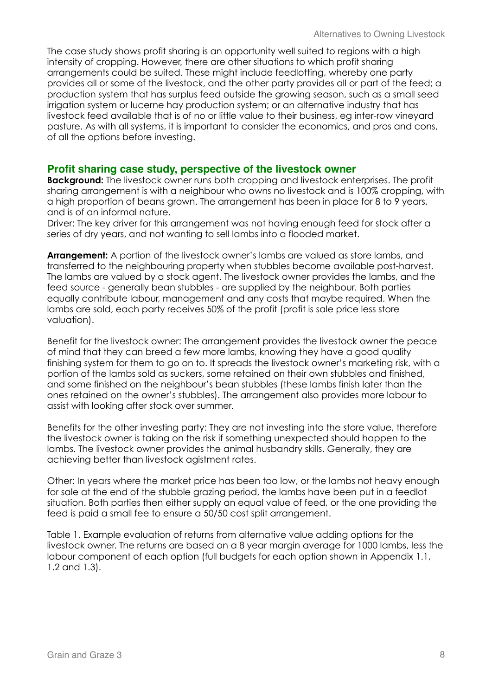The case study shows profit sharing is an opportunity well suited to regions with a high intensity of cropping. However, there are other situations to which profit sharing arrangements could be suited. These might include feedlotting, whereby one party provides all or some of the livestock, and the other party provides all or part of the feed; a production system that has surplus feed outside the growing season, such as a small seed irrigation system or lucerne hay production system; or an alternative industry that has livestock feed available that is of no or little value to their business, eg inter-row vineyard pasture. As with all systems, it is important to consider the economics, and pros and cons, of all the options before investing.

#### **Profit sharing case study, perspective of the livestock owner**

**Background:** The livestock owner runs both cropping and livestock enterprises. The profit sharing arrangement is with a neighbour who owns no livestock and is 100% cropping, with a high proportion of beans grown. The arrangement has been in place for 8 to 9 years, and is of an informal nature.

Driver: The key driver for this arrangement was not having enough feed for stock after a series of dry years, and not wanting to sell lambs into a flooded market.

**Arrangement:** A portion of the livestock owner's lambs are valued as store lambs, and transferred to the neighbouring property when stubbles become available post-harvest. The lambs are valued by a stock agent. The livestock owner provides the lambs, and the feed source - generally bean stubbles - are supplied by the neighbour. Both parties equally contribute labour, management and any costs that maybe required. When the lambs are sold, each party receives 50% of the profit (profit is sale price less store valuation).

Benefit for the livestock owner: The arrangement provides the livestock owner the peace of mind that they can breed a few more lambs, knowing they have a good quality finishing system for them to go on to. It spreads the livestock owner's marketing risk, with a portion of the lambs sold as suckers, some retained on their own stubbles and finished, and some finished on the neighbour's bean stubbles (these lambs finish later than the ones retained on the owner's stubbles). The arrangement also provides more labour to assist with looking after stock over summer.

Benefits for the other investing party: They are not investing into the store value, therefore the livestock owner is taking on the risk if something unexpected should happen to the lambs. The livestock owner provides the animal husbandry skills. Generally, they are achieving better than livestock agistment rates.

Other: In years where the market price has been too low, or the lambs not heavy enough for sale at the end of the stubble grazing period, the lambs have been put in a feedlot situation. Both parties then either supply an equal value of feed, or the one providing the feed is paid a small fee to ensure a 50/50 cost split arrangement.

Table 1. Example evaluation of returns from alternative value adding options for the livestock owner. The returns are based on a 8 year margin average for 1000 lambs, less the labour component of each option (full budgets for each option shown in Appendix 1.1, 1.2 and 1.3).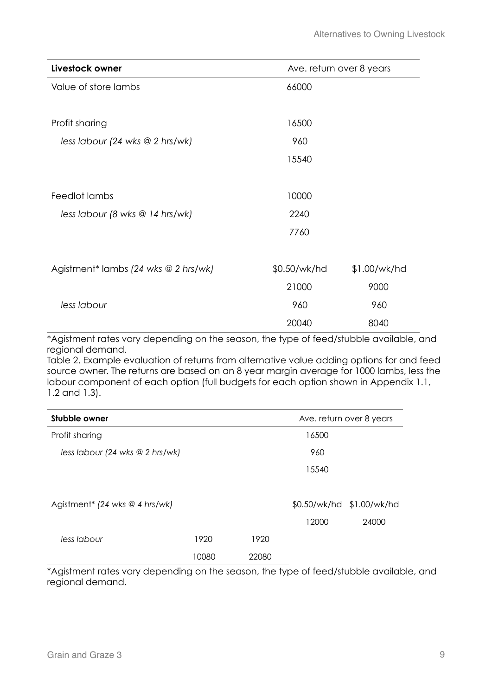| Livestock owner                      | Ave. return over 8 years |              |
|--------------------------------------|--------------------------|--------------|
| Value of store lambs                 | 66000                    |              |
|                                      |                          |              |
| Profit sharing                       | 16500                    |              |
| less labour (24 wks $@$ 2 hrs/wk)    | 960                      |              |
|                                      | 15540                    |              |
|                                      |                          |              |
| Feedlot lambs                        | 10000                    |              |
| less labour (8 wks @ 14 hrs/wk)      | 2240                     |              |
|                                      | 7760                     |              |
|                                      |                          |              |
| Agistment* lambs (24 wks @ 2 hrs/wk) | \$0.50/wk/hd             | \$1.00/wk/hd |
|                                      | 21000                    | 9000         |
| less labour                          | 960                      | 960          |
|                                      | 20040                    | 8040         |

\*Agistment rates vary depending on the season, the type of feed/stubble available, and regional demand.

Table 2. Example evaluation of returns from alternative value adding options for and feed source owner. The returns are based on an 8 year margin average for 1000 lambs, less the labour component of each option (full budgets for each option shown in Appendix 1.1, 1.2 and 1.3).

| Stubble owner                                |       | Ave. return over 8 years |       |                           |       |  |
|----------------------------------------------|-------|--------------------------|-------|---------------------------|-------|--|
| Profit sharing                               |       |                          |       | 16500                     |       |  |
| less labour (24 wks $@$ 2 hrs/wk)            |       |                          |       | 960                       |       |  |
|                                              |       |                          |       | 15540                     |       |  |
|                                              |       |                          |       |                           |       |  |
| Agistment <sup>*</sup> (24 wks $@$ 4 hrs/wk) |       |                          |       | \$0.50/wk/hd \$1.00/wk/hd |       |  |
|                                              |       |                          |       | 12000                     | 24000 |  |
| less labour                                  | 1920  |                          | 1920  |                           |       |  |
|                                              | 10080 |                          | 22080 |                           |       |  |

\*Agistment rates vary depending on the season, the type of feed/stubble available, and regional demand.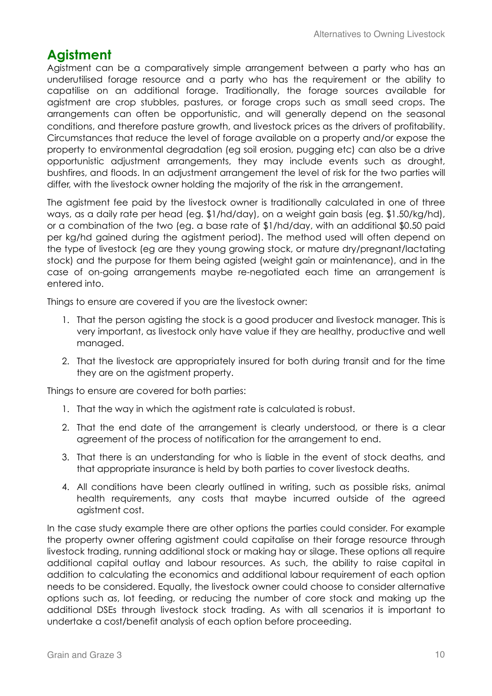## **Agistment**

Agistment can be a comparatively simple arrangement between a party who has an underutilised forage resource and a party who has the requirement or the ability to capatilise on an additional forage. Traditionally, the forage sources available for agistment are crop stubbles, pastures, or forage crops such as small seed crops. The arrangements can often be opportunistic, and will generally depend on the seasonal conditions, and therefore pasture growth, and livestock prices as the drivers of profitability. Circumstances that reduce the level of forage available on a property and/or expose the property to environmental degradation (eg soil erosion, pugging etc) can also be a drive opportunistic adjustment arrangements, they may include events such as drought, bushfires, and floods. In an adjustment arrangement the level of risk for the two parties will differ, with the livestock owner holding the majority of the risk in the arrangement.

The agistment fee paid by the livestock owner is traditionally calculated in one of three ways, as a daily rate per head (eg. \$1/hd/day), on a weight gain basis (eg. \$1.50/kg/hd), or a combination of the two (eg. a base rate of \$1/hd/day, with an additional \$0.50 paid per kg/hd gained during the agistment period). The method used will often depend on the type of livestock (eg are they young growing stock, or mature dry/pregnant/lactating stock) and the purpose for them being agisted (weight gain or maintenance), and in the case of on-going arrangements maybe re-negotiated each time an arrangement is entered into.

Things to ensure are covered if you are the livestock owner:

- 1. That the person agisting the stock is a good producer and livestock manager. This is very important, as livestock only have value if they are healthy, productive and well managed.
- 2. That the livestock are appropriately insured for both during transit and for the time they are on the agistment property.

Things to ensure are covered for both parties:

- 1. That the way in which the agistment rate is calculated is robust.
- 2. That the end date of the arrangement is clearly understood, or there is a clear agreement of the process of notification for the arrangement to end.
- 3. That there is an understanding for who is liable in the event of stock deaths, and that appropriate insurance is held by both parties to cover livestock deaths.
- 4. All conditions have been clearly outlined in writing, such as possible risks, animal health requirements, any costs that maybe incurred outside of the agreed agistment cost.

In the case study example there are other options the parties could consider. For example the property owner offering agistment could capitalise on their forage resource through livestock trading, running additional stock or making hay or silage. These options all require additional capital outlay and labour resources. As such, the ability to raise capital in addition to calculating the economics and additional labour requirement of each option needs to be considered. Equally, the livestock owner could choose to consider alternative options such as, lot feeding, or reducing the number of core stock and making up the additional DSEs through livestock stock trading. As with all scenarios it is important to undertake a cost/benefit analysis of each option before proceeding.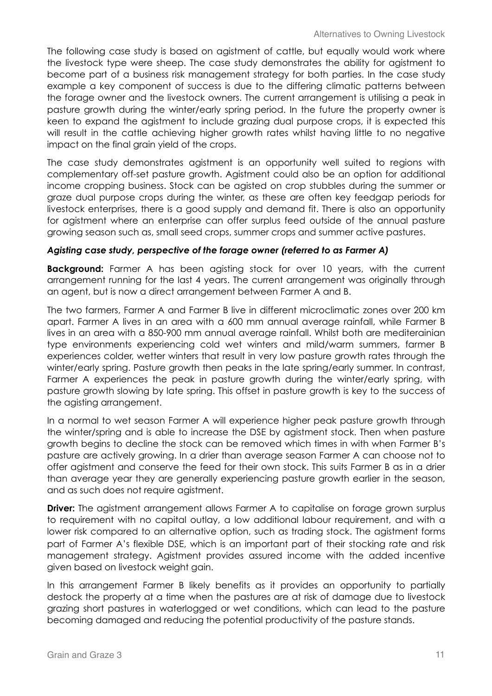The following case study is based on agistment of cattle, but equally would work where the livestock type were sheep. The case study demonstrates the ability for agistment to become part of a business risk management strategy for both parties. In the case study example a key component of success is due to the differing climatic patterns between the forage owner and the livestock owners. The current arrangement is utilising a peak in pasture growth during the winter/early spring period. In the future the property owner is keen to expand the agistment to include grazing dual purpose crops, it is expected this will result in the cattle achieving higher growth rates whilst having little to no negative impact on the final grain yield of the crops.

The case study demonstrates agistment is an opportunity well suited to regions with complementary off-set pasture growth. Agistment could also be an option for additional income cropping business. Stock can be agisted on crop stubbles during the summer or graze dual purpose crops during the winter, as these are often key feedgap periods for livestock enterprises, there is a good supply and demand fit. There is also an opportunity for agistment where an enterprise can offer surplus feed outside of the annual pasture growing season such as, small seed crops, summer crops and summer active pastures.

#### *Agisting case study, perspective of the forage owner (referred to as Farmer A)*

**Background:** Farmer A has been agisting stock for over 10 years, with the current arrangement running for the last 4 years. The current arrangement was originally through an agent, but is now a direct arrangement between Farmer A and B.

The two farmers, Farmer A and Farmer B live in different microclimatic zones over 200 km apart. Farmer A lives in an area with a 600 mm annual average rainfall, while Farmer B lives in an area with a 850-900 mm annual average rainfall. Whilst both are mediterainian type environments experiencing cold wet winters and mild/warm summers, farmer B experiences colder, wetter winters that result in very low pasture growth rates through the winter/early spring. Pasture growth then peaks in the late spring/early summer. In contrast, Farmer A experiences the peak in pasture growth during the winter/early spring, with pasture growth slowing by late spring. This offset in pasture growth is key to the success of the agisting arrangement.

In a normal to wet season Farmer A will experience higher peak pasture growth through the winter/spring and is able to increase the DSE by agistment stock. Then when pasture growth begins to decline the stock can be removed which times in with when Farmer B's pasture are actively growing. In a drier than average season Farmer A can choose not to offer agistment and conserve the feed for their own stock. This suits Farmer B as in a drier than average year they are generally experiencing pasture growth earlier in the season, and as such does not require agistment.

**Driver:** The agistment arrangement allows Farmer A to capitalise on forage grown surplus to requirement with no capital outlay, a low additional labour requirement, and with a lower risk compared to an alternative option, such as trading stock. The agistment forms part of Farmer A's flexible DSE, which is an important part of their stocking rate and risk management strategy. Agistment provides assured income with the added incentive given based on livestock weight gain.

In this arrangement Farmer B likely benefits as it provides an opportunity to partially destock the property at a time when the pastures are at risk of damage due to livestock grazing short pastures in waterlogged or wet conditions, which can lead to the pasture becoming damaged and reducing the potential productivity of the pasture stands.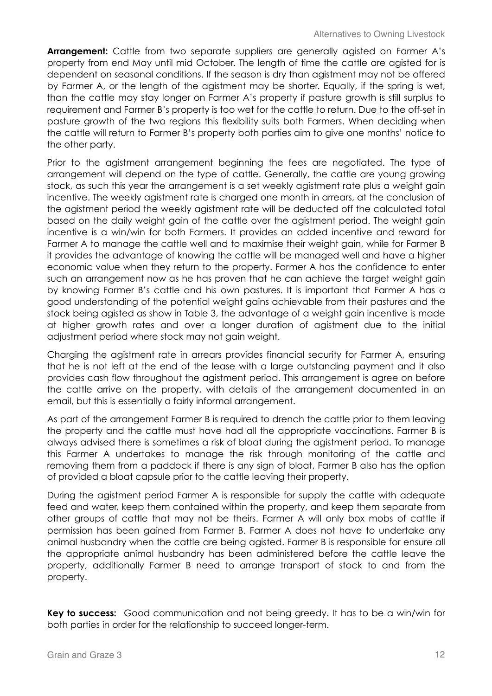**Arrangement:** Cattle from two separate suppliers are generally agisted on Farmer A's property from end May until mid October. The length of time the cattle are agisted for is dependent on seasonal conditions. If the season is dry than agistment may not be offered by Farmer A, or the length of the agistment may be shorter. Equally, if the spring is wet, than the cattle may stay longer on Farmer A's property if pasture growth is still surplus to requirement and Farmer B's property is too wet for the cattle to return. Due to the off-set in pasture growth of the two regions this flexibility suits both Farmers. When deciding when the cattle will return to Farmer B's property both parties aim to give one months' notice to the other party.

Prior to the agistment arrangement beginning the fees are negotiated. The type of arrangement will depend on the type of cattle. Generally, the cattle are young growing stock, as such this year the arrangement is a set weekly agistment rate plus a weight gain incentive. The weekly agistment rate is charged one month in arrears, at the conclusion of the agistment period the weekly agistment rate will be deducted off the calculated total based on the daily weight gain of the cattle over the agistment period. The weight gain incentive is a win/win for both Farmers. It provides an added incentive and reward for Farmer A to manage the cattle well and to maximise their weight gain, while for Farmer B it provides the advantage of knowing the cattle will be managed well and have a higher economic value when they return to the property. Farmer A has the confidence to enter such an arrangement now as he has proven that he can achieve the target weight gain by knowing Farmer B's cattle and his own pastures. It is important that Farmer A has a good understanding of the potential weight gains achievable from their pastures and the stock being agisted as show in Table 3, the advantage of a weight gain incentive is made at higher growth rates and over a longer duration of agistment due to the initial adjustment period where stock may not gain weight.

Charging the agistment rate in arrears provides financial security for Farmer A, ensuring that he is not left at the end of the lease with a large outstanding payment and it also provides cash flow throughout the agistment period. This arrangement is agree on before the cattle arrive on the property, with details of the arrangement documented in an email, but this is essentially a fairly informal arrangement.

As part of the arrangement Farmer B is required to drench the cattle prior to them leaving the property and the cattle must have had all the appropriate vaccinations. Farmer B is always advised there is sometimes a risk of bloat during the agistment period. To manage this Farmer A undertakes to manage the risk through monitoring of the cattle and removing them from a paddock if there is any sign of bloat, Farmer B also has the option of provided a bloat capsule prior to the cattle leaving their property.

During the agistment period Farmer A is responsible for supply the cattle with adequate feed and water, keep them contained within the property, and keep them separate from other groups of cattle that may not be theirs. Farmer A will only box mobs of cattle if permission has been gained from Farmer B. Farmer A does not have to undertake any animal husbandry when the cattle are being agisted. Farmer B is responsible for ensure all the appropriate animal husbandry has been administered before the cattle leave the property, additionally Farmer B need to arrange transport of stock to and from the property.

**Key to success:** Good communication and not being greedy. It has to be a win/win for both parties in order for the relationship to succeed longer-term.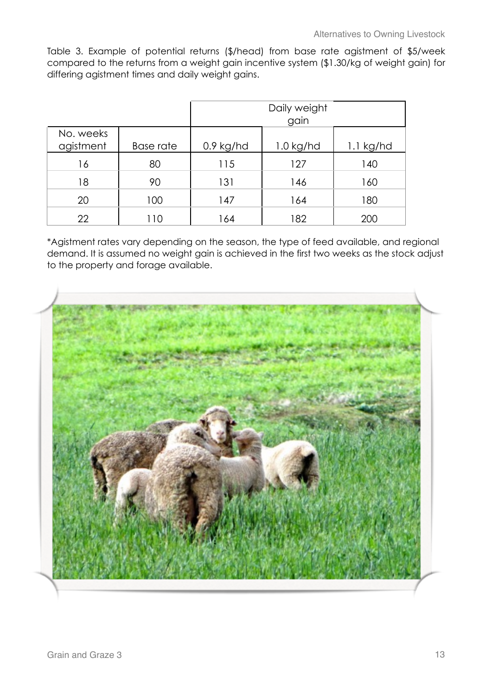Table 3. Example of potential returns (\$/head) from base rate agistment of \$5/week compared to the returns from a weight gain incentive system (\$1.30/kg of weight gain) for differing agistment times and daily weight gains.

|                        |           |             | Daily weight<br>gain |             |
|------------------------|-----------|-------------|----------------------|-------------|
| No. weeks<br>agistment | Base rate | $0.9$ kg/hd | $1.0$ kg/hd          | $1.1$ kg/hd |
| 16                     | 80        | 115         | 127                  | 140         |
| 18                     | 90        | 131         | 146                  | 160         |
| 20                     | 100       | 147         | 164                  | 180         |
| 22                     | 110       | 164         | 182                  | 200         |

\*Agistment rates vary depending on the season, the type of feed available, and regional demand. It is assumed no weight gain is achieved in the first two weeks as the stock adjust to the property and forage available.

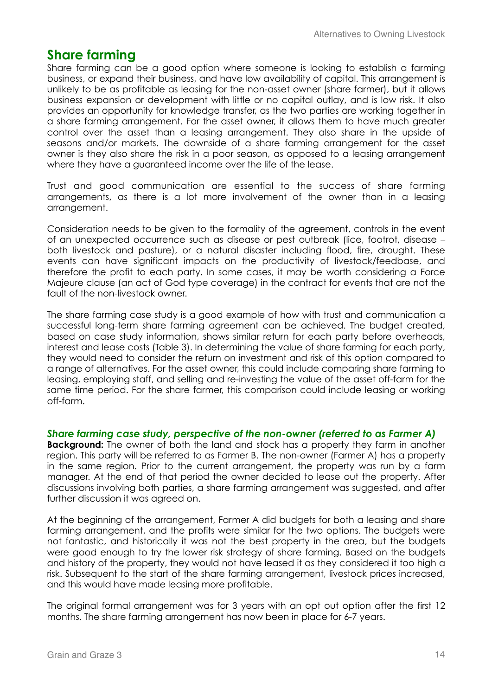## **Share farming**

Share farming can be a good option where someone is looking to establish a farming business, or expand their business, and have low availability of capital. This arrangement is unlikely to be as profitable as leasing for the non-asset owner (share farmer), but it allows business expansion or development with little or no capital outlay, and is low risk. It also provides an opportunity for knowledge transfer, as the two parties are working together in a share farming arrangement. For the asset owner, it allows them to have much greater control over the asset than a leasing arrangement. They also share in the upside of seasons and/or markets. The downside of a share farming arrangement for the asset owner is they also share the risk in a poor season, as opposed to a leasing arrangement where they have a guaranteed income over the life of the lease.

Trust and good communication are essential to the success of share farming arrangements, as there is a lot more involvement of the owner than in a leasing arrangement.

Consideration needs to be given to the formality of the agreement, controls in the event of an unexpected occurrence such as disease or pest outbreak (lice, footrot, disease – both livestock and pasture), or a natural disaster including flood, fire, drought. These events can have significant impacts on the productivity of livestock/feedbase, and therefore the profit to each party. In some cases, it may be worth considering a Force Majeure clause (an act of God type coverage) in the contract for events that are not the fault of the non-livestock owner.

The share farming case study is a good example of how with trust and communication a successful long-term share farming agreement can be achieved. The budget created, based on case study information, shows similar return for each party before overheads, interest and lease costs (Table 3). In determining the value of share farming for each party, they would need to consider the return on investment and risk of this option compared to a range of alternatives. For the asset owner, this could include comparing share farming to leasing, employing staff, and selling and re-investing the value of the asset off-farm for the same time period. For the share farmer, this comparison could include leasing or working off-farm.

#### *Share farming case study, perspective of the non-owner (referred to as Farmer A)*

**Background:** The owner of both the land and stock has a property they farm in another region. This party will be referred to as Farmer B. The non-owner (Farmer A) has a property in the same region. Prior to the current arrangement, the property was run by a farm manager. At the end of that period the owner decided to lease out the property. After discussions involving both parties, a share farming arrangement was suggested, and after further discussion it was agreed on.

At the beginning of the arrangement, Farmer A did budgets for both a leasing and share farming arrangement, and the profits were similar for the two options. The budgets were not fantastic, and historically it was not the best property in the area, but the budgets were good enough to try the lower risk strategy of share farming. Based on the budgets and history of the property, they would not have leased it as they considered it too high a risk. Subsequent to the start of the share farming arrangement, livestock prices increased, and this would have made leasing more profitable.

The original formal arrangement was for 3 years with an opt out option after the first 12 months. The share farming arrangement has now been in place for 6-7 years.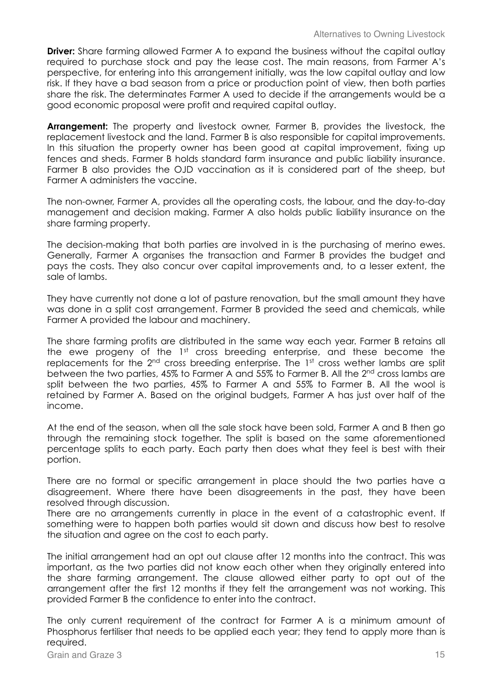**Driver:** Share farming allowed Farmer A to expand the business without the capital outlay required to purchase stock and pay the lease cost. The main reasons, from Farmer A's perspective, for entering into this arrangement initially, was the low capital outlay and low risk. If they have a bad season from a price or production point of view, then both parties share the risk. The determinates Farmer A used to decide if the arrangements would be a good economic proposal were profit and required capital outlay.

**Arrangement:** The property and livestock owner, Farmer B, provides the livestock, the replacement livestock and the land. Farmer B is also responsible for capital improvements. In this situation the property owner has been good at capital improvement, fixing up fences and sheds. Farmer B holds standard farm insurance and public liability insurance. Farmer B also provides the OJD vaccination as it is considered part of the sheep, but Farmer A administers the vaccine.

The non-owner, Farmer A, provides all the operating costs, the labour, and the day-to-day management and decision making. Farmer A also holds public liability insurance on the share farming property.

The decision-making that both parties are involved in is the purchasing of merino ewes. Generally, Farmer A organises the transaction and Farmer B provides the budget and pays the costs. They also concur over capital improvements and, to a lesser extent, the sale of lambs.

They have currently not done a lot of pasture renovation, but the small amount they have was done in a split cost arrangement. Farmer B provided the seed and chemicals, while Farmer A provided the labour and machinery.

The share farming profits are distributed in the same way each year. Farmer B retains all the ewe progeny of the 1<sup>st</sup> cross breeding enterprise, and these become the replacements for the  $2<sup>nd</sup>$  cross breeding enterprise. The  $1<sup>st</sup>$  cross wether lambs are split between the two parties, 45% to Farmer A and 55% to Farmer B. All the 2<sup>nd</sup> cross lambs are split between the two parties, 45% to Farmer A and 55% to Farmer B. All the wool is retained by Farmer A. Based on the original budgets, Farmer A has just over half of the income.

At the end of the season, when all the sale stock have been sold, Farmer A and B then go through the remaining stock together. The split is based on the same aforementioned percentage splits to each party. Each party then does what they feel is best with their portion.

There are no formal or specific arrangement in place should the two parties have a disagreement. Where there have been disagreements in the past, they have been resolved through discussion.

There are no arrangements currently in place in the event of a catastrophic event. If something were to happen both parties would sit down and discuss how best to resolve the situation and agree on the cost to each party.

The initial arrangement had an opt out clause after 12 months into the contract. This was important, as the two parties did not know each other when they originally entered into the share farming arrangement. The clause allowed either party to opt out of the arrangement after the first 12 months if they felt the arrangement was not working. This provided Farmer B the confidence to enter into the contract.

The only current requirement of the contract for Farmer A is a minimum amount of Phosphorus fertiliser that needs to be applied each year; they tend to apply more than is required.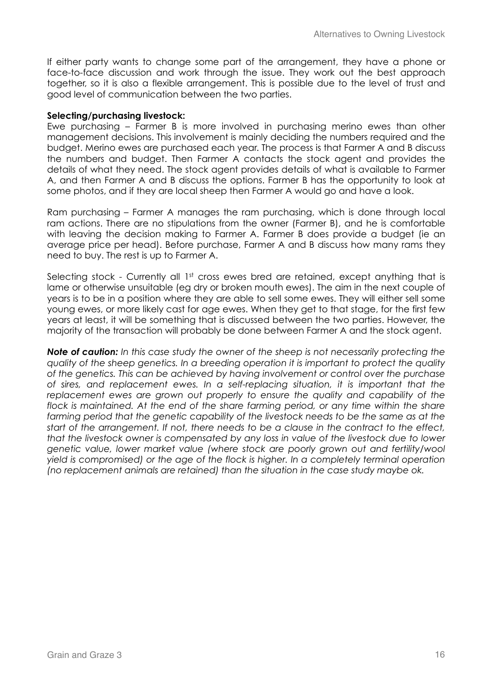If either party wants to change some part of the arrangement, they have a phone or face-to-face discussion and work through the issue. They work out the best approach together, so it is also a flexible arrangement. This is possible due to the level of trust and good level of communication between the two parties.

#### **Selecting/purchasing livestock:**

Ewe purchasing – Farmer B is more involved in purchasing merino ewes than other management decisions. This involvement is mainly deciding the numbers required and the budget. Merino ewes are purchased each year. The process is that Farmer A and B discuss the numbers and budget. Then Farmer A contacts the stock agent and provides the details of what they need. The stock agent provides details of what is available to Farmer A, and then Farmer A and B discuss the options. Farmer B has the opportunity to look at some photos, and if they are local sheep then Farmer A would go and have a look.

Ram purchasing – Farmer A manages the ram purchasing, which is done through local ram actions. There are no stipulations from the owner (Farmer B), and he is comfortable with leaving the decision making to Farmer A. Farmer B does provide a budget (ie an average price per head). Before purchase, Farmer A and B discuss how many rams they need to buy. The rest is up to Farmer A.

Selecting stock - Currently all 1<sup>st</sup> cross ewes bred are retained, except anything that is lame or otherwise unsuitable (eg dry or broken mouth ewes). The aim in the next couple of years is to be in a position where they are able to sell some ewes. They will either sell some young ewes, or more likely cast for age ewes. When they get to that stage, for the first few years at least, it will be something that is discussed between the two parties. However, the majority of the transaction will probably be done between Farmer A and the stock agent.

*Note of caution: In this case study the owner of the sheep is not necessarily protecting the quality of the sheep genetics. In a breeding operation it is important to protect the quality of the genetics. This can be achieved by having involvement or control over the purchase of sires, and replacement ewes. In a self-replacing situation, it is important that the*  replacement ewes are grown out properly to ensure the quality and capability of the flock is maintained. At the end of the share farming period, or any time within the share farming period that the genetic capability of the livestock needs to be the same as at the *start of the arrangement. If not, there needs to be a clause in the contract to the effect, that the livestock owner is compensated by any loss in value of the livestock due to lower genetic value, lower market value (where stock are poorly grown out and fertility/wool yield is compromised) or the age of the flock is higher. In a completely terminal operation (no replacement animals are retained) than the situation in the case study maybe ok.*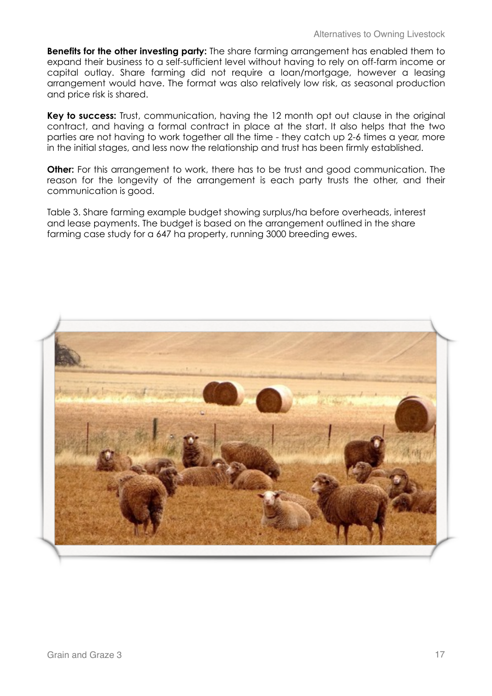**Benefits for the other investing party:** The share farming arrangement has enabled them to expand their business to a self-sufficient level without having to rely on off-farm income or capital outlay. Share farming did not require a loan/mortgage, however a leasing arrangement would have. The format was also relatively low risk, as seasonal production and price risk is shared.

**Key to success:** Trust, communication, having the 12 month opt out clause in the original contract, and having a formal contract in place at the start. It also helps that the two parties are not having to work together all the time - they catch up 2-6 times a year, more in the initial stages, and less now the relationship and trust has been firmly established.

**Other:** For this arrangement to work, there has to be trust and good communication. The reason for the longevity of the arrangement is each party trusts the other, and their communication is good.

Table 3. Share farming example budget showing surplus/ha before overheads, interest and lease payments. The budget is based on the arrangement outlined in the share farming case study for a 647 ha property, running 3000 breeding ewes.

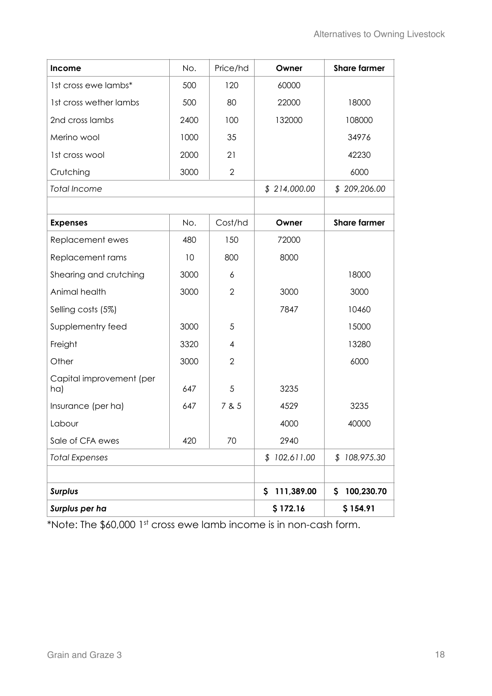| Income                          | No.      | Price/hd       | Owner                      | <b>Share farmer</b> |
|---------------------------------|----------|----------------|----------------------------|---------------------|
| 1st cross ewe lambs*            | 500      | 120            | 60000                      |                     |
| 1st cross wether lambs          | 500      | 80             | 22000                      | 18000               |
| 2nd cross lambs                 | 2400     | 100            | 132000                     | 108000              |
| Merino wool                     | 1000     | 35             |                            | 34976               |
| 1st cross wool                  | 2000     | 21             |                            | 42230               |
| Crutching                       | 3000     | $\overline{2}$ |                            | 6000                |
| <b>Total Income</b>             |          |                | \$214,000.00               | \$209,206.00        |
|                                 |          |                |                            |                     |
| <b>Expenses</b>                 | No.      | Cost/hd        | Owner                      | <b>Share farmer</b> |
| Replacement ewes                | 480      | 150            | 72000                      |                     |
| Replacement rams                | 10       | 800            | 8000                       |                     |
| Shearing and crutching          | 3000     | 6              |                            | 18000               |
| Animal health                   | 3000     | $\overline{2}$ | 3000                       | 3000                |
| Selling costs (5%)              |          |                | 7847                       | 10460               |
| Supplementry feed               | 3000     | 5              |                            | 15000               |
| Freight                         | 3320     | 4              |                            | 13280               |
| Other                           | 3000     | $\overline{2}$ |                            | 6000                |
| Capital improvement (per<br>ha) | 647      | 5              | 3235                       |                     |
| Insurance (per ha)              | 647      | 7 & 5          | 4529                       | 3235                |
| Labour                          |          |                | 4000                       | 40000               |
| Sale of CFA ewes                | 420      | 70             | 2940                       |                     |
| <b>Total Expenses</b>           |          |                | \$102,611.00               | \$108,975.30        |
|                                 |          |                |                            |                     |
| <b>Surplus</b>                  |          |                | 111,389.00<br>$\mathsf{S}$ | 100,230.70<br>\$    |
| Surplus per ha                  | \$172.16 | \$154.91       |                            |                     |

\*Note: The \$60,000 1st cross ewe lamb income is in non-cash form.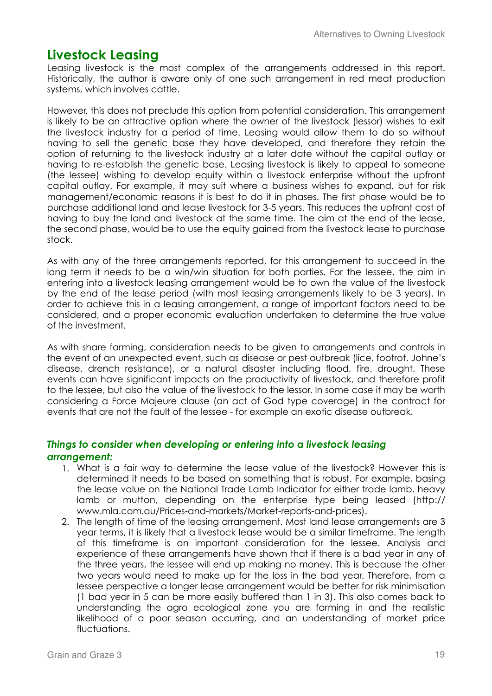## **Livestock Leasing**

Leasing livestock is the most complex of the arrangements addressed in this report. Historically, the author is aware only of one such arrangement in red meat production systems, which involves cattle.

However, this does not preclude this option from potential consideration. This arrangement is likely to be an attractive option where the owner of the livestock (lessor) wishes to exit the livestock industry for a period of time. Leasing would allow them to do so without having to sell the genetic base they have developed, and therefore they retain the option of returning to the livestock industry at a later date without the capital outlay or having to re-establish the genetic base. Leasing livestock is likely to appeal to someone (the lessee) wishing to develop equity within a livestock enterprise without the upfront capital outlay. For example, it may suit where a business wishes to expand, but for risk management/economic reasons it is best to do it in phases. The first phase would be to purchase additional land and lease livestock for 3-5 years. This reduces the upfront cost of having to buy the land and livestock at the same time. The aim at the end of the lease, the second phase, would be to use the equity gained from the livestock lease to purchase stock.

As with any of the three arrangements reported, for this arrangement to succeed in the long term it needs to be a win/win situation for both parties. For the lessee, the aim in entering into a livestock leasing arrangement would be to own the value of the livestock by the end of the lease period (with most leasing arrangements likely to be 3 years). In order to achieve this in a leasing arrangement, a range of important factors need to be considered, and a proper economic evaluation undertaken to determine the true value of the investment.

As with share farming, consideration needs to be given to arrangements and controls in the event of an unexpected event, such as disease or pest outbreak (lice, footrot, Johne's disease, drench resistance), or a natural disaster including flood, fire, drought. These events can have significant impacts on the productivity of livestock, and therefore profit to the lessee, but also the value of the livestock to the lessor. In some case it may be worth considering a Force Majeure clause (an act of God type coverage) in the contract for events that are not the fault of the lessee - for example an exotic disease outbreak.

#### *Things to consider when developing or entering into a livestock leasing arrangement:*

- 1. What is a fair way to determine the lease value of the livestock? However this is determined it needs to be based on something that is robust. For example, basing the lease value on the National Trade Lamb Indicator for either trade lamb, heavy lamb or mutton, depending on the enterprise type being leased (http:// www.mla.com.au/Prices-and-markets/Market-reports-and-prices).
- 2. The length of time of the leasing arrangement. Most land lease arrangements are 3 year terms, it is likely that a livestock lease would be a similar timeframe. The length of this timeframe is an important consideration for the lessee. Analysis and experience of these arrangements have shown that if there is a bad year in any of the three years, the lessee will end up making no money. This is because the other two years would need to make up for the loss in the bad year. Therefore, from a lessee perspective a longer lease arrangement would be better for risk minimisation (1 bad year in 5 can be more easily buffered than 1 in 3). This also comes back to understanding the agro ecological zone you are farming in and the realistic likelihood of a poor season occurring, and an understanding of market price fluctuations.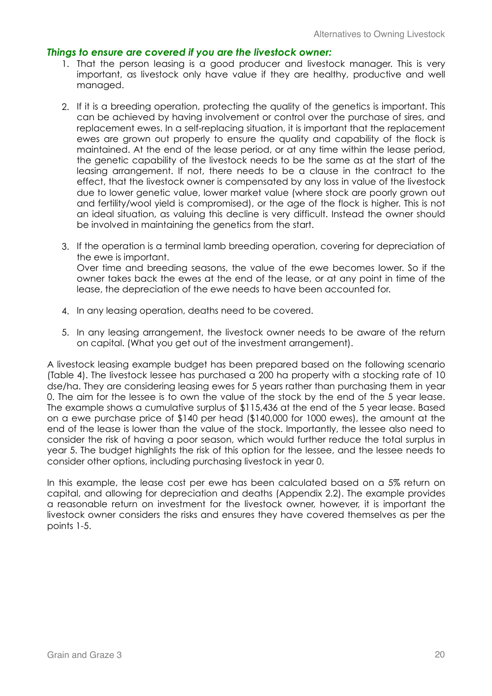#### *Things to ensure are covered if you are the livestock owner:*

- 1. That the person leasing is a good producer and livestock manager. This is very important, as livestock only have value if they are healthy, productive and well managed.
- 2. If it is a breeding operation, protecting the quality of the genetics is important. This can be achieved by having involvement or control over the purchase of sires, and replacement ewes. In a self-replacing situation, it is important that the replacement ewes are grown out properly to ensure the quality and capability of the flock is maintained. At the end of the lease period, or at any time within the lease period, the genetic capability of the livestock needs to be the same as at the start of the leasing arrangement. If not, there needs to be a clause in the contract to the effect, that the livestock owner is compensated by any loss in value of the livestock due to lower genetic value, lower market value (where stock are poorly grown out and fertility/wool yield is compromised), or the age of the flock is higher. This is not an ideal situation, as valuing this decline is very difficult. Instead the owner should be involved in maintaining the genetics from the start.
- 3. If the operation is a terminal lamb breeding operation, covering for depreciation of the ewe is important. Over time and breeding seasons, the value of the ewe becomes lower. So if the owner takes back the ewes at the end of the lease, or at any point in time of the lease, the depreciation of the ewe needs to have been accounted for.
- 4. In any leasing operation, deaths need to be covered.
- 5. In any leasing arrangement, the livestock owner needs to be aware of the return on capital. (What you get out of the investment arrangement).

A livestock leasing example budget has been prepared based on the following scenario (Table 4). The livestock lessee has purchased a 200 ha property with a stocking rate of 10 dse/ha. They are considering leasing ewes for 5 years rather than purchasing them in year 0. The aim for the lessee is to own the value of the stock by the end of the 5 year lease. The example shows a cumulative surplus of \$115,436 at the end of the 5 year lease. Based on a ewe purchase price of \$140 per head (\$140,000 for 1000 ewes), the amount at the end of the lease is lower than the value of the stock. Importantly, the lessee also need to consider the risk of having a poor season, which would further reduce the total surplus in year 5. The budget highlights the risk of this option for the lessee, and the lessee needs to consider other options, including purchasing livestock in year 0.

In this example, the lease cost per ewe has been calculated based on a 5% return on capital, and allowing for depreciation and deaths (Appendix 2.2). The example provides a reasonable return on investment for the livestock owner, however, it is important the livestock owner considers the risks and ensures they have covered themselves as per the points 1-5.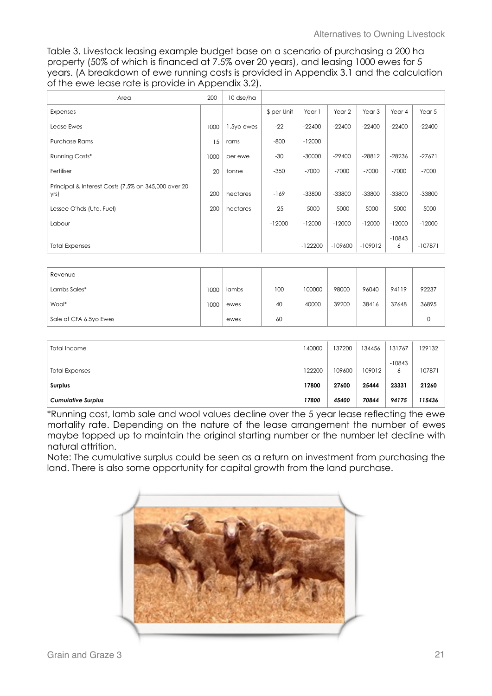Table 3. Livestock leasing example budget base on a scenario of purchasing a 200 ha property (50% of which is financed at 7.5% over 20 years), and leasing 1000 ewes for 5 years. (A breakdown of ewe running costs is provided in Appendix 3.1 and the calculation of the ewe lease rate is provide in Appendix 3.2).

| Area                                                        | 200  | 10 dse/ha  |             |           |           |           |               |           |
|-------------------------------------------------------------|------|------------|-------------|-----------|-----------|-----------|---------------|-----------|
| Expenses                                                    |      |            | \$ per Unit | Year 1    | Year 2    | Year 3    | Year 4        | Year 5    |
| Lease Ewes                                                  | 1000 | 1.5yo ewes | $-22$       | $-22400$  | $-22400$  | $-22400$  | $-22400$      | $-22400$  |
| <b>Purchase Rams</b>                                        | 15   | rams       | $-800$      | $-12000$  |           |           |               |           |
| Running Costs*                                              | 1000 | per ewe    | $-30$       | $-30000$  | $-29400$  | $-28812$  | $-28236$      | $-27671$  |
| Fertiliser                                                  | 20   | tonne      | $-350$      | $-7000$   | $-7000$   | $-7000$   | $-7000$       | $-7000$   |
| Principal & Interest Costs (7.5% on 345,000 over 20<br>yrs) | 200  | hectares   | $-169$      | $-33800$  | $-33800$  | $-33800$  | $-33800$      | $-33800$  |
| Lessee O'hds (Ute, Fuel)                                    | 200  | hectares   | $-25$       | $-5000$   | $-5000$   | $-5000$   | $-5000$       | $-5000$   |
| Labour                                                      |      |            | $-12000$    | $-12000$  | $-12000$  | $-12000$  | $-12000$      | $-12000$  |
| <b>Total Expenses</b>                                       |      |            |             | $-122200$ | $-109600$ | $-109012$ | $-10843$<br>6 | $-107871$ |

| Revenue                |     |       |     |        |       |       |       |       |
|------------------------|-----|-------|-----|--------|-------|-------|-------|-------|
| Lambs Sales*           | 000 | lambs | 100 | 100000 | 98000 | 96040 | 94119 | 92237 |
| Wool*                  | 000 | ewes  | 40  | 40000  | 39200 | 38416 | 37648 | 36895 |
| Sale of CFA 6.5yo Ewes |     | ewes  | 60  |        |       |       |       |       |

| Total Income              | 140000    | 137200    | 34456     | 131767        | 129132    |
|---------------------------|-----------|-----------|-----------|---------------|-----------|
| <b>Total Expenses</b>     | $-122200$ | $-109600$ | $-109012$ | $-10843$<br>6 | $-107871$ |
| Surplus                   | 17800     | 27600     | 25444     | 23331         | 21260     |
| <b>Cumulative Surplus</b> | 17800     | 45400     | 70844     | 94175         | 115436    |

\*Running cost, lamb sale and wool values decline over the 5 year lease reflecting the ewe mortality rate. Depending on the nature of the lease arrangement the number of ewes maybe topped up to maintain the original starting number or the number let decline with natural attrition.

Note: The cumulative surplus could be seen as a return on investment from purchasing the land. There is also some opportunity for capital growth from the land purchase.

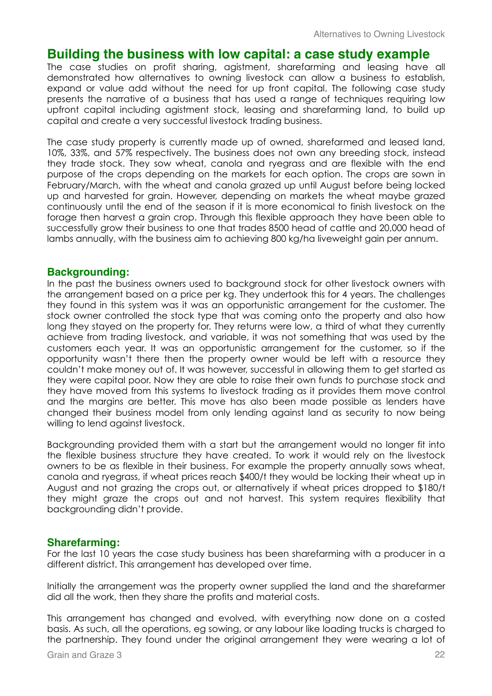## **Building the business with low capital: a case study example**

The case studies on profit sharing, agistment, sharefarming and leasing have all demonstrated how alternatives to owning livestock can allow a business to establish, expand or value add without the need for up front capital. The following case study presents the narrative of a business that has used a range of techniques requiring low upfront capital including agistment stock, leasing and sharefarming land, to build up capital and create a very successful livestock trading business.

The case study property is currently made up of owned, sharefarmed and leased land, 10%, 33%, and 57% respectively. The business does not own any breeding stock, instead they trade stock. They sow wheat, canola and ryegrass and are flexible with the end purpose of the crops depending on the markets for each option. The crops are sown in February/March, with the wheat and canola grazed up until August before being locked up and harvested for grain. However, depending on markets the wheat maybe grazed continuously until the end of the season if it is more economical to finish livestock on the forage then harvest a grain crop. Through this flexible approach they have been able to successfully grow their business to one that trades 8500 head of cattle and 20,000 head of lambs annually, with the business aim to achieving 800 kg/ha liveweight gain per annum.

#### **Backgrounding:**

In the past the business owners used to background stock for other livestock owners with the arrangement based on a price per kg. They undertook this for 4 years. The challenges they found in this system was it was an opportunistic arrangement for the customer. The stock owner controlled the stock type that was coming onto the property and also how long they stayed on the property for. They returns were low, a third of what they currently achieve from trading livestock, and variable, it was not something that was used by the customers each year. It was an opportunistic arrangement for the customer, so if the opportunity wasn't there then the property owner would be left with a resource they couldn't make money out of. It was however, successful in allowing them to get started as they were capital poor. Now they are able to raise their own funds to purchase stock and they have moved from this systems to livestock trading as it provides them move control and the margins are better. This move has also been made possible as lenders have changed their business model from only lending against land as security to now being willing to lend against livestock.

Backgrounding provided them with a start but the arrangement would no longer fit into the flexible business structure they have created. To work it would rely on the livestock owners to be as flexible in their business. For example the property annually sows wheat, canola and ryegrass, if wheat prices reach \$400/t they would be locking their wheat up in August and not grazing the crops out, or alternatively if wheat prices dropped to \$180/t they might graze the crops out and not harvest. This system requires flexibility that backgrounding didn't provide.

#### **Sharefarming:**

For the last 10 years the case study business has been sharefarming with a producer in a different district. This arrangement has developed over time.

Initially the arrangement was the property owner supplied the land and the sharefarmer did all the work, then they share the profits and material costs.

This arrangement has changed and evolved, with everything now done on a costed basis. As such, all the operations, eg sowing, or any labour like loading trucks is charged to the partnership. They found under the original arrangement they were wearing a lot of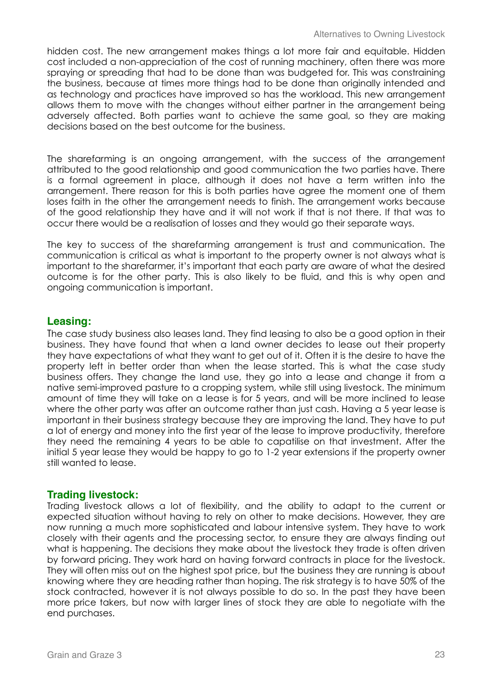hidden cost. The new arrangement makes things a lot more fair and equitable. Hidden cost included a non-appreciation of the cost of running machinery, often there was more spraying or spreading that had to be done than was budgeted for. This was constraining the business, because at times more things had to be done than originally intended and as technology and practices have improved so has the workload. This new arrangement allows them to move with the changes without either partner in the arrangement being adversely affected. Both parties want to achieve the same goal, so they are making decisions based on the best outcome for the business.

The sharefarming is an ongoing arrangement, with the success of the arrangement attributed to the good relationship and good communication the two parties have. There is a formal agreement in place, although it does not have a term written into the arrangement. There reason for this is both parties have agree the moment one of them loses faith in the other the arrangement needs to finish. The arrangement works because of the good relationship they have and it will not work if that is not there. If that was to occur there would be a realisation of losses and they would go their separate ways.

The key to success of the sharefarming arrangement is trust and communication. The communication is critical as what is important to the property owner is not always what is important to the sharefarmer, it's important that each party are aware of what the desired outcome is for the other party. This is also likely to be fluid, and this is why open and ongoing communication is important.

#### **Leasing:**

The case study business also leases land. They find leasing to also be a good option in their business. They have found that when a land owner decides to lease out their property they have expectations of what they want to get out of it. Often it is the desire to have the property left in better order than when the lease started. This is what the case study business offers. They change the land use, they go into a lease and change it from a native semi-improved pasture to a cropping system, while still using livestock. The minimum amount of time they will take on a lease is for 5 years, and will be more inclined to lease where the other party was after an outcome rather than just cash. Having a 5 year lease is important in their business strategy because they are improving the land. They have to put a lot of energy and money into the first year of the lease to improve productivity, therefore they need the remaining 4 years to be able to capatilise on that investment. After the initial 5 year lease they would be happy to go to 1-2 year extensions if the property owner still wanted to lease.

#### **Trading livestock:**

Trading livestock allows a lot of flexibility, and the ability to adapt to the current or expected situation without having to rely on other to make decisions. However, they are now running a much more sophisticated and labour intensive system. They have to work closely with their agents and the processing sector, to ensure they are always finding out what is happening. The decisions they make about the livestock they trade is often driven by forward pricing. They work hard on having forward contracts in place for the livestock. They will often miss out on the highest spot price, but the business they are running is about knowing where they are heading rather than hoping. The risk strategy is to have 50% of the stock contracted, however it is not always possible to do so. In the past they have been more price takers, but now with larger lines of stock they are able to negotiate with the end purchases.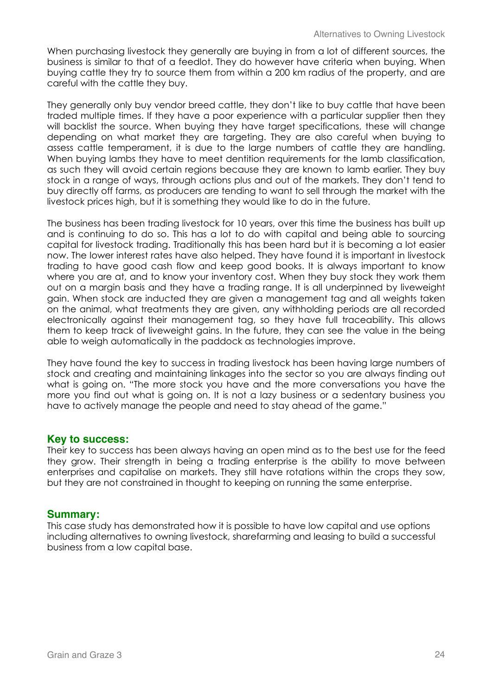When purchasing livestock they generally are buying in from a lot of different sources, the business is similar to that of a feedlot. They do however have criteria when buying. When buying cattle they try to source them from within a 200 km radius of the property, and are careful with the cattle they buy.

They generally only buy vendor breed cattle, they don't like to buy cattle that have been traded multiple times. If they have a poor experience with a particular supplier then they will backlist the source. When buying they have target specifications, these will change depending on what market they are targeting. They are also careful when buying to assess cattle temperament, it is due to the large numbers of cattle they are handling. When buying lambs they have to meet dentition requirements for the lamb classification, as such they will avoid certain regions because they are known to lamb earlier. They buy stock in a range of ways, through actions plus and out of the markets. They don't tend to buy directly off farms, as producers are tending to want to sell through the market with the livestock prices high, but it is something they would like to do in the future.

The business has been trading livestock for 10 years, over this time the business has built up and is continuing to do so. This has a lot to do with capital and being able to sourcing capital for livestock trading. Traditionally this has been hard but it is becoming a lot easier now. The lower interest rates have also helped. They have found it is important in livestock trading to have good cash flow and keep good books. It is always important to know where you are at, and to know your inventory cost. When they buy stock they work them out on a margin basis and they have a trading range. It is all underpinned by liveweight gain. When stock are inducted they are given a management tag and all weights taken on the animal, what treatments they are given, any withholding periods are all recorded electronically against their management tag, so they have full traceability. This allows them to keep track of liveweight gains. In the future, they can see the value in the being able to weigh automatically in the paddock as technologies improve.

They have found the key to success in trading livestock has been having large numbers of stock and creating and maintaining linkages into the sector so you are always finding out what is going on. "The more stock you have and the more conversations you have the more you find out what is going on. It is not a lazy business or a sedentary business you have to actively manage the people and need to stay ahead of the game."

#### **Key to success:**

Their key to success has been always having an open mind as to the best use for the feed they grow. Their strength in being a trading enterprise is the ability to move between enterprises and capitalise on markets. They still have rotations within the crops they sow, but they are not constrained in thought to keeping on running the same enterprise.

#### **Summary:**

This case study has demonstrated how it is possible to have low capital and use options including alternatives to owning livestock, sharefarming and leasing to build a successful business from a low capital base.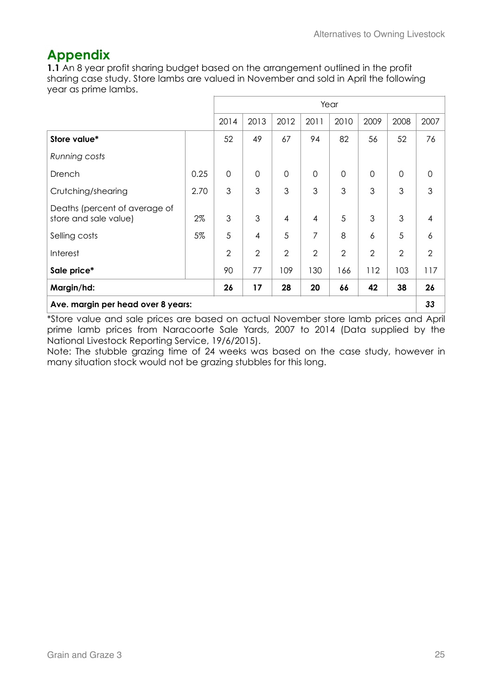## **Appendix**

**1.1** An 8 year profit sharing budget based on the arrangement outlined in the profit sharing case study. Store lambs are valued in November and sold in April the following year as prime lambs.

|                                                        |      |                | Year           |                |                |                |                |                |                     |
|--------------------------------------------------------|------|----------------|----------------|----------------|----------------|----------------|----------------|----------------|---------------------|
|                                                        |      | 2014           | 2013           | 2012           | 2011           | 2010           | 2009           | 2008           | 2007                |
| Store value*                                           |      | 52             | 49             | 67             | 94             | 82             | 56             | 52             | 76                  |
| Running costs                                          |      |                |                |                |                |                |                |                |                     |
| Drench                                                 | 0.25 | $\mathbf 0$    | $\overline{0}$ | $\mathbf 0$    | $\mathbf 0$    | $\overline{0}$ | $\mathbf 0$    | $\mathbf 0$    | $\mathsf{O}\xspace$ |
| Crutching/shearing                                     | 2.70 | 3              | 3              | 3              | 3              | 3              | 3              | 3              | 3                   |
| Deaths (percent of average of<br>store and sale value) | 2%   | 3              | 3              | 4              | $\overline{4}$ | 5              | 3              | 3              | 4                   |
| Selling costs                                          | 5%   | 5              | $\overline{4}$ | 5              | 7              | 8              | 6              | 5              | 6                   |
| Interest                                               |      | $\overline{2}$ | $\overline{2}$ | $\overline{2}$ | $\overline{2}$ | $\overline{2}$ | $\overline{2}$ | $\overline{2}$ | $\mathbf{2}$        |
| Sale price*                                            |      | 90             | 77             | 109            | 130            | 166            | 112            | 103            | 117                 |
| Margin/hd:                                             |      | 26             | 17             | 28             | 20             | 66             | 42             | 38             | 26                  |
| Ave. margin per head over 8 years:                     |      |                |                |                |                |                |                |                | 33                  |

\*Store value and sale prices are based on actual November store lamb prices and April prime lamb prices from Naracoorte Sale Yards, 2007 to 2014 (Data supplied by the National Livestock Reporting Service, 19/6/2015).

Note: The stubble grazing time of 24 weeks was based on the case study, however in many situation stock would not be grazing stubbles for this long.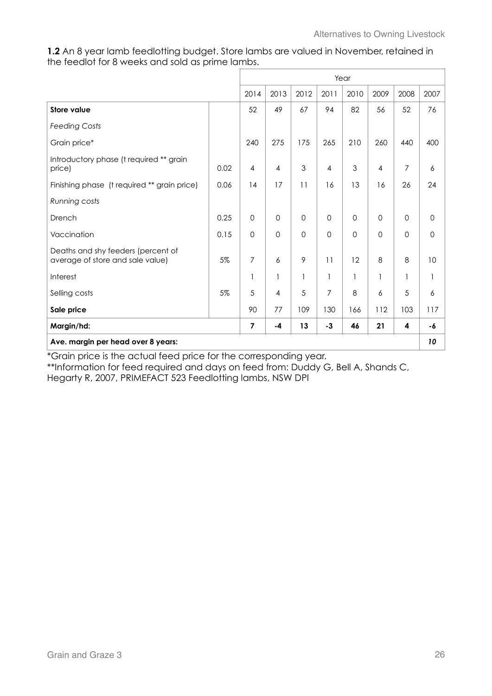**1.2** An 8 year lamb feedlotting budget. Store lambs are valued in November, retained in the feedlot for 8 weeks and sold as prime lambs.

|                                                                        |      | Year           |                |          |                |             |                |                |      |
|------------------------------------------------------------------------|------|----------------|----------------|----------|----------------|-------------|----------------|----------------|------|
|                                                                        |      | 2014           | 2013           | 2012     | 2011           | 2010        | 2009           | 2008           | 2007 |
| <b>Store value</b>                                                     |      | 52             | 49             | 67       | 94             | 82          | 56             | 52             | 76   |
| <b>Feeding Costs</b>                                                   |      |                |                |          |                |             |                |                |      |
| Grain price*                                                           |      | 240            | 275            | 175      | 265            | 210         | 260            | 440            | 400  |
| Introductory phase (t required ** grain<br>price)                      | 0.02 | $\overline{4}$ | $\overline{4}$ | 3        | $\overline{4}$ | 3           | $\overline{4}$ | $\overline{7}$ | 6    |
| Finishing phase (t required ** grain price)                            | 0.06 | 14             | 17             | 11       | 16             | 13          | 16             | 26             | 24   |
| Running costs                                                          |      |                |                |          |                |             |                |                |      |
| Drench                                                                 | 0.25 | $\mathbf 0$    | $\Omega$       | $\Omega$ | $\Omega$       | $\mathbf 0$ | $\mathbf 0$    | $\mathbf 0$    | 0    |
| Vaccination                                                            | 0.15 | $\mathbf 0$    | $\Omega$       | $\Omega$ | $\Omega$       | $\mathbf 0$ | $\Omega$       | $\Omega$       | 0    |
| Deaths and shy feeders (percent of<br>average of store and sale value) | 5%   | 7              | 6              | 9        | 11             | 12          | 8              | 8              | 10   |
| Interest                                                               |      | $\mathbf{1}$   | 1              | 1        |                | 1           | $\mathbf{1}$   | $\mathbf{1}$   | 1    |
| Selling costs                                                          | 5%   | 5              | $\overline{4}$ | 5        | $\overline{7}$ | 8           | 6              | 5              | 6    |
| Sale price                                                             |      | 90             | 77             | 109      | 130            | 166         | 112            | 103            | 117  |
| Margin/hd:                                                             |      | $\overline{7}$ | $-4$           | 13       | $-3$           | 46          | 21             | 4              | -6   |
| Ave. margin per head over 8 years:                                     |      |                |                |          |                |             |                |                | 10   |

\*Grain price is the actual feed price for the corresponding year.

\*\*Information for feed required and days on feed from: Duddy G, Bell A, Shands C,

Hegarty R, 2007, PRIMEFACT 523 Feedlotting lambs, NSW DPI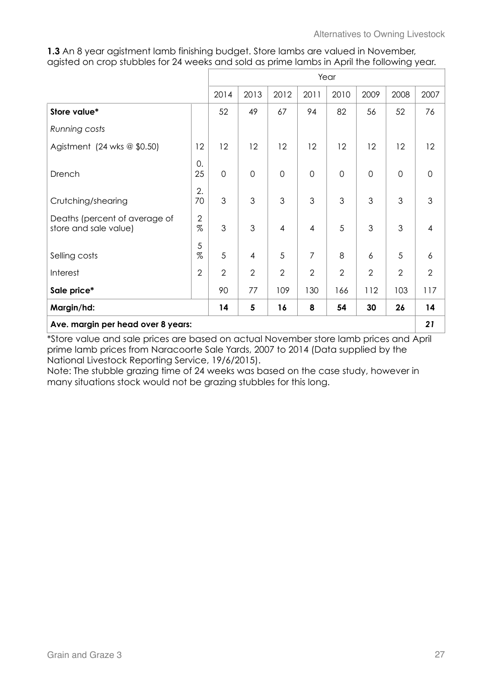**1.3** An 8 year agistment lamb finishing budget. Store lambs are valued in November, agisted on crop stubbles for 24 weeks and sold as prime lambs in April the following year.

|                                                        |                    | Year           |                |                |                |                |                |                |                |
|--------------------------------------------------------|--------------------|----------------|----------------|----------------|----------------|----------------|----------------|----------------|----------------|
|                                                        |                    | 2014           | 2013           | 2012           | 2011           | 2010           | 2009           | 2008           | 2007           |
| Store value*                                           |                    | 52             | 49             | 67             | 94             | 82             | 56             | 52             | 76             |
| Running costs                                          |                    |                |                |                |                |                |                |                |                |
| Agistment (24 wks $@$ \$0.50)                          | 12                 | 12             | 12             | 12             | 12             | 12             | 12             | 12             | 12             |
| Drench                                                 | 0.<br>25           | $\overline{0}$ | $\overline{0}$ | $\mathbf 0$    | $\overline{0}$ | $\overline{0}$ | $\overline{0}$ | $\overline{0}$ | $\overline{0}$ |
| Crutching/shearing                                     | 2.<br>70           | 3              | 3              | 3              | 3              | 3              | 3              | 3              | 3              |
| Deaths (percent of average of<br>store and sale value) | $\sqrt{2}$<br>$\%$ | 3              | 3              | $\overline{4}$ | $\overline{4}$ | 5              | 3              | 3              | $\overline{4}$ |
| Selling costs                                          | 5<br>%             | 5              | $\overline{4}$ | 5              | $\overline{7}$ | 8              | 6              | 5              | 6              |
| Interest                                               | $\overline{2}$     | $\overline{2}$ | $\overline{2}$ | $\overline{2}$ | $\overline{2}$ | $\overline{2}$ | $\overline{2}$ | $\overline{2}$ | $\overline{2}$ |
| Sale price*                                            |                    | 90             | 77             | 109            | 130            | 166            | 112            | 103            | 117            |
| Margin/hd:                                             |                    | 14             | 5              | 16             | 8              | 54             | 30             | 26             | 14             |
| Ave. margin per head over 8 years:                     |                    |                |                |                |                |                |                | 21             |                |

\*Store value and sale prices are based on actual November store lamb prices and April prime lamb prices from Naracoorte Sale Yards, 2007 to 2014 (Data supplied by the National Livestock Reporting Service, 19/6/2015).

Note: The stubble grazing time of 24 weeks was based on the case study, however in many situations stock would not be grazing stubbles for this long.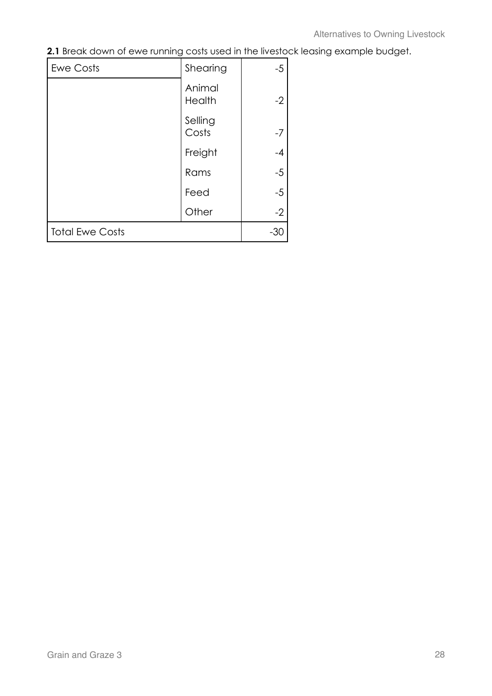**2.1** Break down of ewe running costs used in the livestock leasing example budget.

| <b>Ewe Costs</b>       | Shearing         | $-5$  |
|------------------------|------------------|-------|
|                        | Animal<br>Health | $-2$  |
|                        | Selling<br>Costs | $-7$  |
|                        | Freight          | $-4$  |
|                        | Rams             | $-5$  |
|                        | Feed             | $-5$  |
|                        | Other            | $-2$  |
| <b>Total Ewe Costs</b> |                  | $-30$ |